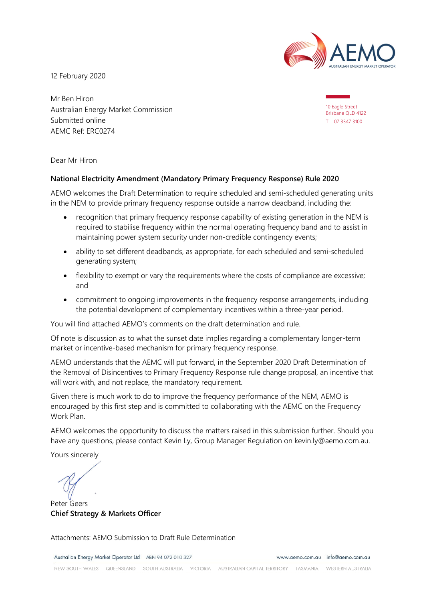

12 February 2020

Mr Ben Hiron Australian Energy Market Commission Submitted online AEMC Ref: ERC0274

10 Eagle Street Brisbane QLD 4122 T 07 3347 3100

Dear Mr Hiron

#### **National Electricity Amendment (Mandatory Primary Frequency Response) Rule 2020**

AEMO welcomes the Draft Determination to require scheduled and semi-scheduled generating units in the NEM to provide primary frequency response outside a narrow deadband, including the:

- recognition that primary frequency response capability of existing generation in the NEM is required to stabilise frequency within the normal operating frequency band and to assist in maintaining power system security under non-credible contingency events;
- ability to set different deadbands, as appropriate, for each scheduled and semi-scheduled generating system;
- flexibility to exempt or vary the requirements where the costs of compliance are excessive; and
- commitment to ongoing improvements in the frequency response arrangements, including the potential development of complementary incentives within a three-year period.

You will find attached AEMO's comments on the draft determination and rule.

Of note is discussion as to what the sunset date implies regarding a complementary longer-term market or incentive-based mechanism for primary frequency response.

AEMO understands that the AEMC will put forward, in the September 2020 Draft Determination of the Removal of Disincentives to Primary Frequency Response rule change proposal, an incentive that will work with, and not replace, the mandatory requirement.

Given there is much work to do to improve the frequency performance of the NEM, AEMO is encouraged by this first step and is committed to collaborating with the AEMC on the Frequency Work Plan.

AEMO welcomes the opportunity to discuss the matters raised in this submission further. Should you have any questions, please contact Kevin Ly, Group Manager Regulation on kevin.ly@aemo.com.au.

Yours sincerely

Peter Geers **Chief Strategy & Markets Officer**

Attachments: AEMO Submission to Draft Rule Determination

Australian Energy Market Operator Ltd ABN 94 072 010 327

www.aemo.com.au info@aemo.com.au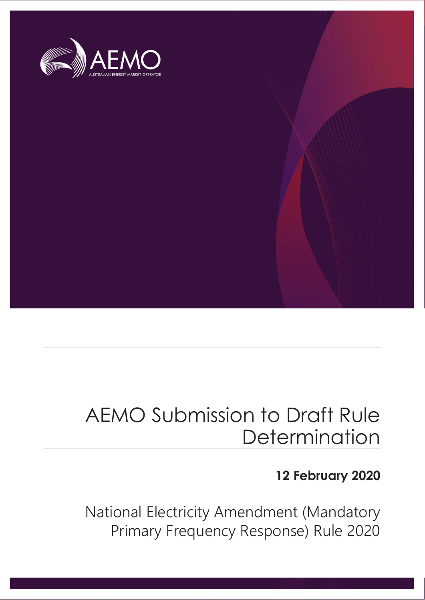

## AEMO Submission to Draft Rule **Determination**

## **12 February 2020**

National Electricity Amendment (Mandatory Primary Frequency Response) Rule 2020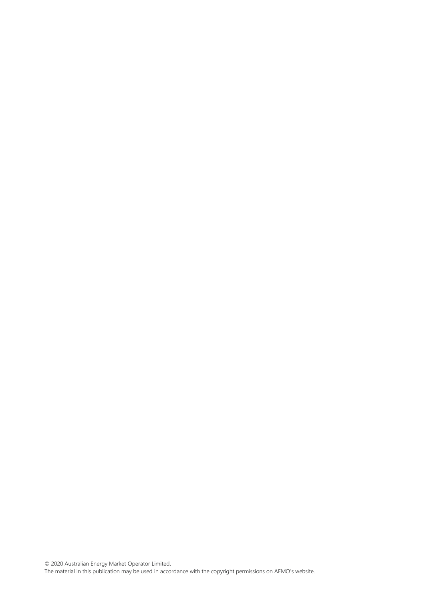© 2020 Australian Energy Market Operator Limited. The material in this publication may be used in accordance with th[e copyright permissions on AEMO's website.](http://aemo.com.au/Privacy_and_Legal_Notices/Copyright_Permissions_Notice)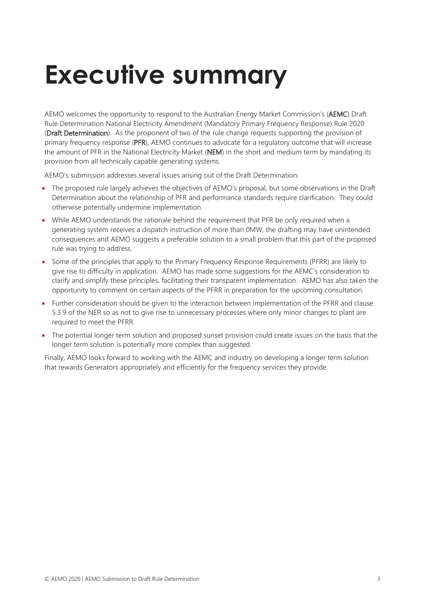# <span id="page-3-0"></span>**Executive summary**

AEMO welcomes the opportunity to respond to the Australian Energy Market Commission's (AEMC) Draft Rule Determination National Electricity Amendment (Mandatory Primary Frequency Response) Rule 2020 (Draft Determination). As the proponent of two of the rule change requests supporting the provision of primary frequency response (PFR), AEMO continues to advocate for a regulatory outcome that will increase the amount of PFR in the National Electricity Market (NEM) in the short and medium term by mandating its provision from all technically capable generating systems.

AEMO's submission addresses several issues arising out of the Draft Determination:

- The proposed rule largely achieves the objectives of AEMO's proposal, but some observations in the Draft Determination about the relationship of PFR and performance standards require clarification. They could otherwise potentially undermine implementation.
- While AEMO understands the rationale behind the requirement that PFR be only required when a generating system receives a dispatch instruction of more than 0MW, the drafting may have unintended consequences and AEMO suggests a preferable solution to a small problem that this part of the proposed rule was trying to address.
- Some of the principles that apply to the Primary Frequency Response Requirements (PFRR) are likely to give rise to difficulty in application. AEMO has made some suggestions for the AEMC's consideration to clarify and simplify these principles, facilitating their transparent implementation. AEMO has also taken the opportunity to comment on certain aspects of the PFRR in preparation for the upcoming consultation.
- Further consideration should be given to the interaction between implementation of the PFRR and clause 5.3.9 of the NER so as not to give rise to unnecessary processes where only minor changes to plant are required to meet the PFRR.
- The potential longer term solution and proposed sunset provision could create issues on the basis that the longer term solution is potentially more complex than suggested.

Finally, AEMO looks forward to working with the AEMC and industry on developing a longer term solution that rewards Generators appropriately and efficiently for the frequency services they provide.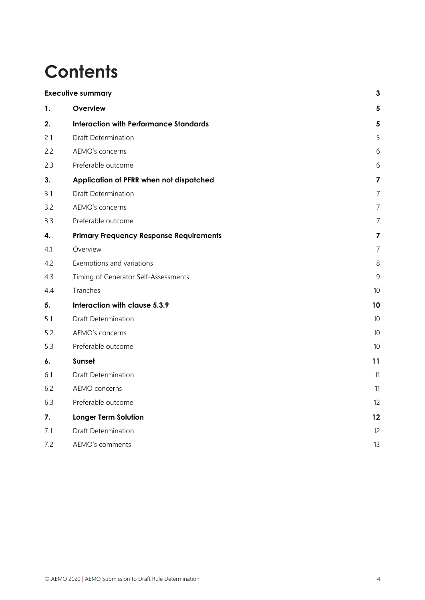## **Contents**

| <b>Executive summary</b> |                                                | $\mathbf{3}$            |
|--------------------------|------------------------------------------------|-------------------------|
| 1.                       | Overview                                       | $\overline{\mathbf{5}}$ |
| 2.                       | <b>Interaction with Performance Standards</b>  | $\overline{\mathbf{5}}$ |
| 2.1                      | <b>Draft Determination</b>                     | 5                       |
| 2.2                      | AEMO's concerns                                | 6                       |
| 2.3                      | Preferable outcome                             | 6                       |
| 3.                       | Application of PFRR when not dispatched        | $\overline{\mathbf{z}}$ |
| 3.1                      | <b>Draft Determination</b>                     | $\overline{7}$          |
| 3.2                      | AEMO's concerns                                | $\overline{7}$          |
| 3.3                      | Preferable outcome                             | $\overline{7}$          |
| 4.                       | <b>Primary Frequency Response Requirements</b> | 7                       |
| 4.1                      | Overview                                       | $\overline{7}$          |
| 4.2                      | Exemptions and variations                      | 8                       |
| 4.3                      | Timing of Generator Self-Assessments           | 9                       |
| 4.4                      | Tranches                                       | 10                      |
| 5.                       | Interaction with clause 5.3.9                  | 10                      |
| 5.1                      | <b>Draft Determination</b>                     | 10                      |
| 5.2                      | AEMO's concerns                                | 10                      |
| 5.3                      | Preferable outcome                             | 10                      |
| 6.                       | Sunset                                         | 11                      |
| 6.1                      | <b>Draft Determination</b>                     | 11                      |
| 6.2                      | AEMO concerns                                  | 11                      |
| 6.3                      | Preferable outcome                             | 12                      |
| 7.                       | <b>Longer Term Solution</b>                    | 12                      |
| 7.1                      | Draft Determination                            | 12                      |
| 7.2                      | AEMO's comments                                | 13                      |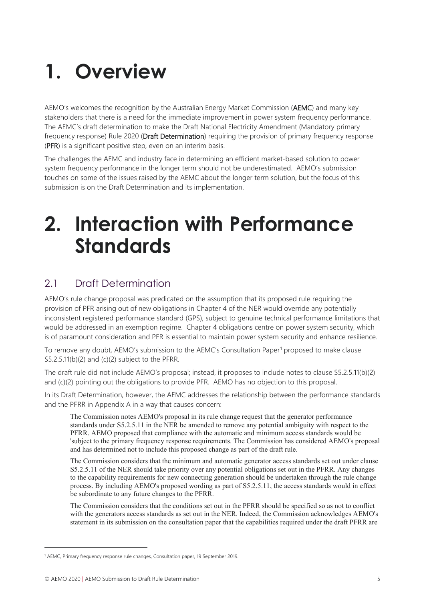## <span id="page-5-0"></span>**1. Overview**

AEMO's welcomes the recognition by the Australian Energy Market Commission (AEMC) and many key stakeholders that there is a need for the immediate improvement in power system frequency performance. The AEMC's draft determination to make the Draft National Electricity Amendment (Mandatory primary frequency response) Rule 2020 (Draft Determination) requiring the provision of primary frequency response (PFR) is a significant positive step, even on an interim basis.

The challenges the AEMC and industry face in determining an efficient market-based solution to power system frequency performance in the longer term should not be underestimated. AEMO's submission touches on some of the issues raised by the AEMC about the longer term solution, but the focus of this submission is on the Draft Determination and its implementation.

## <span id="page-5-1"></span>**2. Interaction with Performance Standards**

## <span id="page-5-2"></span>2.1 Draft Determination

AEMO's rule change proposal was predicated on the assumption that its proposed rule requiring the provision of PFR arising out of new obligations in Chapter 4 of the NER would override any potentially inconsistent registered performance standard (GPS), subject to genuine technical performance limitations that would be addressed in an exemption regime. Chapter 4 obligations centre on power system security, which is of paramount consideration and PFR is essential to maintain power system security and enhance resilience.

To remove any doubt, AEMO's submission to the AEMC's Consultation Paper<sup>[1](#page-5-3)</sup> proposed to make clause S5.2.5.11(b)(2) and (c)(2) subject to the PFRR.

The draft rule did not include AEMO's proposal; instead, it proposes to include notes to clause S5.2.5.11(b)(2) and (c)(2) pointing out the obligations to provide PFR. AEMO has no objection to this proposal.

In its Draft Determination, however, the AEMC addresses the relationship between the performance standards and the PFRR in Appendix A in a way that causes concern:

The Commission notes AEMO's proposal in its rule change request that the generator performance standards under S5.2.5.11 in the NER be amended to remove any potential ambiguity with respect to the PFRR. AEMO proposed that compliance with the automatic and minimum access standards would be 'subject to the primary frequency response requirements. The Commission has considered AEMO's proposal and has determined not to include this proposed change as part of the draft rule.

The Commission considers that the minimum and automatic generator access standards set out under clause S5.2.5.11 of the NER should take priority over any potential obligations set out in the PFRR. Any changes to the capability requirements for new connecting generation should be undertaken through the rule change process. By including AEMO's proposed wording as part of S5.2.5.11, the access standards would in effect be subordinate to any future changes to the PFRR.

The Commission considers that the conditions set out in the PFRR should be specified so as not to conflict with the generators access standards as set out in the NER. Indeed, the Commission acknowledges AEMO's statement in its submission on the consultation paper that the capabilities required under the draft PFRR are

<span id="page-5-3"></span><sup>&</sup>lt;sup>1</sup> AEMC, Primary frequency response rule changes, Consultation paper, 19 September 2019.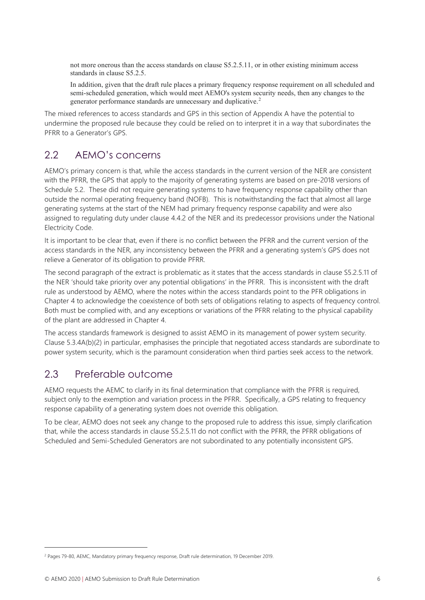not more onerous than the access standards on clause S5.2.5.11, or in other existing minimum access standards in clause S5.2.5.

In addition, given that the draft rule places a primary frequency response requirement on all scheduled and semi-scheduled generation, which would meet AEMO's system security needs, then any changes to the generator performance standards are unnecessary and duplicative.[2](#page-6-2)

The mixed references to access standards and GPS in this section of Appendix A have the potential to undermine the proposed rule because they could be relied on to interpret it in a way that subordinates the PFRR to a Generator's GPS.

## <span id="page-6-0"></span>2.2 AEMO's concerns

AEMO's primary concern is that, while the access standards in the current version of the NER are consistent with the PFRR, the GPS that apply to the majority of generating systems are based on pre-2018 versions of Schedule 5.2. These did not require generating systems to have frequency response capability other than outside the normal operating frequency band (NOFB). This is notwithstanding the fact that almost all large generating systems at the start of the NEM had primary frequency response capability and were also assigned to regulating duty under clause 4.4.2 of the NER and its predecessor provisions under the National Electricity Code.

It is important to be clear that, even if there is no conflict between the PFRR and the current version of the access standards in the NER, any inconsistency between the PFRR and a generating system's GPS does not relieve a Generator of its obligation to provide PFRR.

The second paragraph of the extract is problematic as it states that the access standards in clause S5.2.5.11 of the NER 'should take priority over any potential obligations' in the PFRR. This is inconsistent with the draft rule as understood by AEMO, where the notes within the access standards point to the PFR obligations in Chapter 4 to acknowledge the coexistence of both sets of obligations relating to aspects of frequency control. Both must be complied with, and any exceptions or variations of the PFRR relating to the physical capability of the plant are addressed in Chapter 4.

The access standards framework is designed to assist AEMO in its management of power system security. Clause 5.3.4A(b)(2) in particular, emphasises the principle that negotiated access standards are subordinate to power system security, which is the paramount consideration when third parties seek access to the network.

### <span id="page-6-1"></span>2.3 Preferable outcome

AEMO requests the AEMC to clarify in its final determination that compliance with the PFRR is required, subject only to the exemption and variation process in the PFRR. Specifically, a GPS relating to frequency response capability of a generating system does not override this obligation.

To be clear, AEMO does not seek any change to the proposed rule to address this issue, simply clarification that, while the access standards in clause S5.2.5.11 do not conflict with the PFRR, the PFRR obligations of Scheduled and Semi-Scheduled Generators are not subordinated to any potentially inconsistent GPS.

<span id="page-6-2"></span><sup>&</sup>lt;sup>2</sup> Pages 79-80, AEMC, Mandatory primary frequency response, Draft rule determination, 19 December 2019.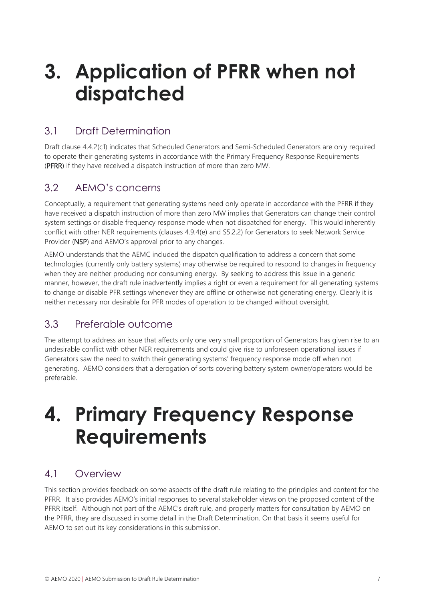## <span id="page-7-0"></span>**3. Application of PFRR when not dispatched**

## <span id="page-7-1"></span>3.1 Draft Determination

Draft clause 4.4.2(c1) indicates that Scheduled Generators and Semi-Scheduled Generators are only required to operate their generating systems in accordance with the Primary Frequency Response Requirements (PFRR) if they have received a dispatch instruction of more than zero MW.

## <span id="page-7-2"></span>3.2 AEMO's concerns

Conceptually, a requirement that generating systems need only operate in accordance with the PFRR if they have received a dispatch instruction of more than zero MW implies that Generators can change their control system settings or disable frequency response mode when not dispatched for energy. This would inherently conflict with other NER requirements (clauses 4.9.4(e) and S5.2.2) for Generators to seek Network Service Provider (NSP) and AEMO's approval prior to any changes.

AEMO understands that the AEMC included the dispatch qualification to address a concern that some technologies (currently only battery systems) may otherwise be required to respond to changes in frequency when they are neither producing nor consuming energy. By seeking to address this issue in a generic manner, however, the draft rule inadvertently implies a right or even a requirement for all generating systems to change or disable PFR settings whenever they are offline or otherwise not generating energy. Clearly it is neither necessary nor desirable for PFR modes of operation to be changed without oversight.

## <span id="page-7-3"></span>3.3 Preferable outcome

The attempt to address an issue that affects only one very small proportion of Generators has given rise to an undesirable conflict with other NER requirements and could give rise to unforeseen operational issues if Generators saw the need to switch their generating systems' frequency response mode off when not generating. AEMO considers that a derogation of sorts covering battery system owner/operators would be preferable.

## <span id="page-7-4"></span>**4. Primary Frequency Response Requirements**

## <span id="page-7-5"></span>4.1 Overview

This section provides feedback on some aspects of the draft rule relating to the principles and content for the PFRR. It also provides AEMO's initial responses to several stakeholder views on the proposed content of the PFRR itself. Although not part of the AEMC's draft rule, and properly matters for consultation by AEMO on the PFRR, they are discussed in some detail in the Draft Determination. On that basis it seems useful for AEMO to set out its key considerations in this submission.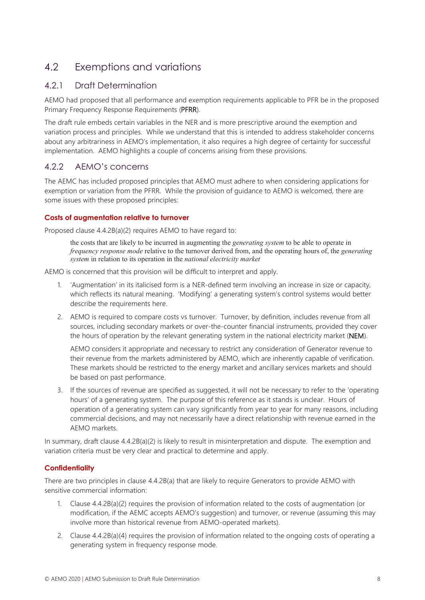## <span id="page-8-0"></span>4.2 Exemptions and variations

#### 4.2.1 Draft Determination

AEMO had proposed that all performance and exemption requirements applicable to PFR be in the proposed Primary Frequency Response Requirements (PFRR).

The draft rule embeds certain variables in the NER and is more prescriptive around the exemption and variation process and principles. While we understand that this is intended to address stakeholder concerns about any arbitrariness in AEMO's implementation, it also requires a high degree of certainty for successful implementation. AEMO highlights a couple of concerns arising from these provisions.

#### 4.2.2 AEMO's concerns

The AEMC has included proposed principles that AEMO must adhere to when considering applications for exemption or variation from the PFRR. While the provision of guidance to AEMO is welcomed, there are some issues with these proposed principles:

#### **Costs of augmentation relative to turnover**

Proposed clause 4.4.2B(a)(2) requires AEMO to have regard to:

the costs that are likely to be incurred in augmenting the *generating system* to be able to operate in *frequency response mode* relative to the turnover derived from, and the operating hours of, the *generating system* in relation to its operation in the *national electricity market*

AEMO is concerned that this provision will be difficult to interpret and apply.

- 1. 'Augmentation' in its italicised form is a NER-defined term involving an increase in size or capacity, which reflects its natural meaning. 'Modifying' a generating system's control systems would better describe the requirements here.
- 2. AEMO is required to compare costs vs turnover. Turnover, by definition, includes revenue from all sources, including secondary markets or over-the-counter financial instruments, provided they cover the hours of operation by the relevant generating system in the national electricity market (NEM).

AEMO considers it appropriate and necessary to restrict any consideration of Generator revenue to their revenue from the markets administered by AEMO, which are inherently capable of verification. These markets should be restricted to the energy market and ancillary services markets and should be based on past performance.

3. If the sources of revenue are specified as suggested, it will not be necessary to refer to the 'operating hours' of a generating system. The purpose of this reference as it stands is unclear. Hours of operation of a generating system can vary significantly from year to year for many reasons, including commercial decisions, and may not necessarily have a direct relationship with revenue earned in the AEMO markets.

In summary, draft clause 4.4.2B(a)(2) is likely to result in misinterpretation and dispute. The exemption and variation criteria must be very clear and practical to determine and apply.

#### **Confidentiality**

There are two principles in clause 4.4.2B(a) that are likely to require Generators to provide AEMO with sensitive commercial information:

- 1. Clause 4.4.2B(a)(2) requires the provision of information related to the costs of augmentation (or modification, if the AEMC accepts AEMO's suggestion) and turnover, or revenue (assuming this may involve more than historical revenue from AEMO-operated markets).
- 2. Clause 4.4.2B(a)(4) requires the provision of information related to the ongoing costs of operating a generating system in frequency response mode.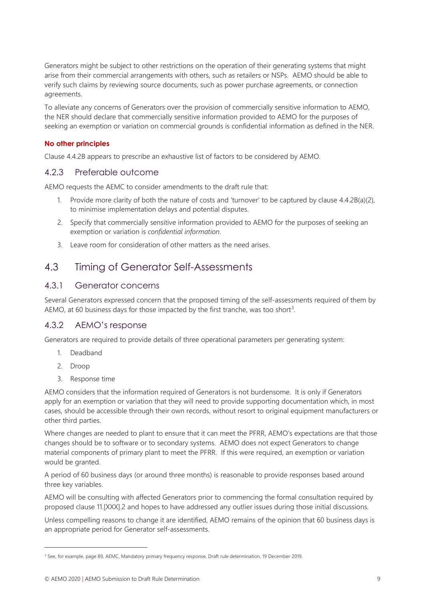Generators might be subject to other restrictions on the operation of their generating systems that might arise from their commercial arrangements with others, such as retailers or NSPs. AEMO should be able to verify such claims by reviewing source documents, such as power purchase agreements, or connection agreements.

To alleviate any concerns of Generators over the provision of commercially sensitive information to AEMO, the NER should declare that commercially sensitive information provided to AEMO for the purposes of seeking an exemption or variation on commercial grounds is confidential information as defined in the NER.

#### **No other principles**

Clause 4.4.2B appears to prescribe an exhaustive list of factors to be considered by AEMO.

#### 4.2.3 Preferable outcome

AEMO requests the AEMC to consider amendments to the draft rule that:

- 1. Provide more clarity of both the nature of costs and 'turnover' to be captured by clause 4.4.2B(a)(2), to minimise implementation delays and potential disputes.
- 2. Specify that commercially sensitive information provided to AEMO for the purposes of seeking an exemption or variation is *confidential information*.
- 3. Leave room for consideration of other matters as the need arises.

### <span id="page-9-0"></span>4.3 Timing of Generator Self-Assessments

#### 4.3.1 Generator concerns

Several Generators expressed concern that the proposed timing of the self-assessments required of them by AEMO, at 60 business days for those impacted by the first tranche, was too short<sup>[3](#page-9-1)</sup>.

#### 4.3.2 AEMO's response

Generators are required to provide details of three operational parameters per generating system:

- 1. Deadband
- 2. Droop
- 3. Response time

AEMO considers that the information required of Generators is not burdensome. It is only if Generators apply for an exemption or variation that they will need to provide supporting documentation which, in most cases, should be accessible through their own records, without resort to original equipment manufacturers or other third parties.

Where changes are needed to plant to ensure that it can meet the PFRR, AEMO's expectations are that those changes should be to software or to secondary systems. AEMO does not expect Generators to change material components of primary plant to meet the PFRR. If this were required, an exemption or variation would be granted.

A period of 60 business days (or around three months) is reasonable to provide responses based around three key variables.

AEMO will be consulting with affected Generators prior to commencing the formal consultation required by proposed clause 11.[XXX].2 and hopes to have addressed any outlier issues during those initial discussions.

Unless compelling reasons to change it are identified, AEMO remains of the opinion that 60 business days is an appropriate period for Generator self-assessments.

<span id="page-9-1"></span><sup>&</sup>lt;sup>3</sup> See, for example, page 89, AEMC, Mandatory primary frequency response, Draft rule determination, 19 December 2019.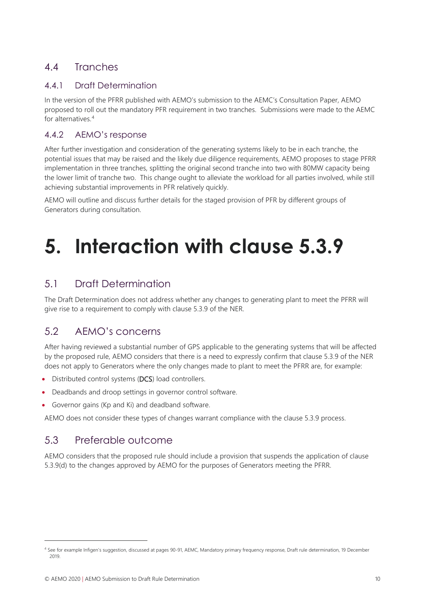## <span id="page-10-0"></span>4.4 Tranches

#### 4.4.1 Draft Determination

In the version of the PFRR published with AEMO's submission to the AEMC's Consultation Paper, AEMO proposed to roll out the mandatory PFR requirement in two tranches. Submissions were made to the AEMC for alternatives. [4](#page-10-5)

#### 4.4.2 AEMO's response

After further investigation and consideration of the generating systems likely to be in each tranche, the potential issues that may be raised and the likely due diligence requirements, AEMO proposes to stage PFRR implementation in three tranches, splitting the original second tranche into two with 80MW capacity being the lower limit of tranche two. This change ought to alleviate the workload for all parties involved, while still achieving substantial improvements in PFR relatively quickly.

AEMO will outline and discuss further details for the staged provision of PFR by different groups of Generators during consultation.

## <span id="page-10-1"></span>**5. Interaction with clause 5.3.9**

## <span id="page-10-2"></span>5.1 Draft Determination

The Draft Determination does not address whether any changes to generating plant to meet the PFRR will give rise to a requirement to comply with clause 5.3.9 of the NER.

## <span id="page-10-3"></span>5.2 AEMO's concerns

After having reviewed a substantial number of GPS applicable to the generating systems that will be affected by the proposed rule, AEMO considers that there is a need to expressly confirm that clause 5.3.9 of the NER does not apply to Generators where the only changes made to plant to meet the PFRR are, for example:

- Distributed control systems (DCS) load controllers.
- Deadbands and droop settings in governor control software.
- Governor gains (Kp and Ki) and deadband software.

AEMO does not consider these types of changes warrant compliance with the clause 5.3.9 process.

## <span id="page-10-4"></span>5.3 Preferable outcome

AEMO considers that the proposed rule should include a provision that suspends the application of clause 5.3.9(d) to the changes approved by AEMO for the purposes of Generators meeting the PFRR.

<span id="page-10-5"></span><sup>4</sup> See for example Infigen's suggestion, discussed at pages 90-91, AEMC, Mandatory primary frequency response, Draft rule determination, 19 December 2019.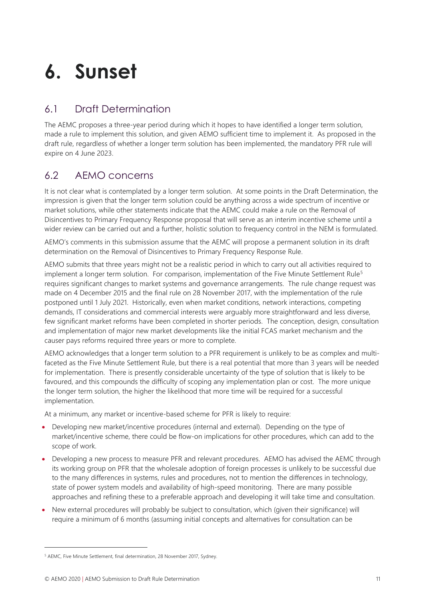## <span id="page-11-0"></span>**6. Sunset**

## <span id="page-11-1"></span>6.1 Draft Determination

The AEMC proposes a three-year period during which it hopes to have identified a longer term solution, made a rule to implement this solution, and given AEMO sufficient time to implement it. As proposed in the draft rule, regardless of whether a longer term solution has been implemented, the mandatory PFR rule will expire on 4 June 2023.

## <span id="page-11-2"></span>6.2 AEMO concerns

It is not clear what is contemplated by a longer term solution. At some points in the Draft Determination, the impression is given that the longer term solution could be anything across a wide spectrum of incentive or market solutions, while other statements indicate that the AEMC could make a rule on the Removal of Disincentives to Primary Frequency Response proposal that will serve as an interim incentive scheme until a wider review can be carried out and a further, holistic solution to frequency control in the NEM is formulated.

AEMO's comments in this submission assume that the AEMC will propose a permanent solution in its draft determination on the Removal of Disincentives to Primary Frequency Response Rule.

AEMO submits that three years might not be a realistic period in which to carry out all activities required to implement a longer term solution. For comparison, implementation of the Five Minute Settlement Rule<sup>[5](#page-11-3)</sup> requires significant changes to market systems and governance arrangements. The rule change request was made on 4 December 2015 and the final rule on 28 November 2017, with the implementation of the rule postponed until 1 July 2021. Historically, even when market conditions, network interactions, competing demands, IT considerations and commercial interests were arguably more straightforward and less diverse, few significant market reforms have been completed in shorter periods. The conception, design, consultation and implementation of major new market developments like the initial FCAS market mechanism and the causer pays reforms required three years or more to complete.

AEMO acknowledges that a longer term solution to a PFR requirement is unlikely to be as complex and multifaceted as the Five Minute Settlement Rule, but there is a real potential that more than 3 years will be needed for implementation. There is presently considerable uncertainty of the type of solution that is likely to be favoured, and this compounds the difficulty of scoping any implementation plan or cost. The more unique the longer term solution, the higher the likelihood that more time will be required for a successful implementation.

At a minimum, any market or incentive-based scheme for PFR is likely to require:

- Developing new market/incentive procedures (internal and external). Depending on the type of market/incentive scheme, there could be flow-on implications for other procedures, which can add to the scope of work.
- Developing a new process to measure PFR and relevant procedures. AEMO has advised the AEMC through its working group on PFR that the wholesale adoption of foreign processes is unlikely to be successful due to the many differences in systems, rules and procedures, not to mention the differences in technology, state of power system models and availability of high-speed monitoring. There are many possible approaches and refining these to a preferable approach and developing it will take time and consultation.
- New external procedures will probably be subject to consultation, which (given their significance) will require a minimum of 6 months (assuming initial concepts and alternatives for consultation can be

<span id="page-11-3"></span><sup>5</sup> AEMC, Five Minute Settlement, final determination, 28 November 2017, Sydney.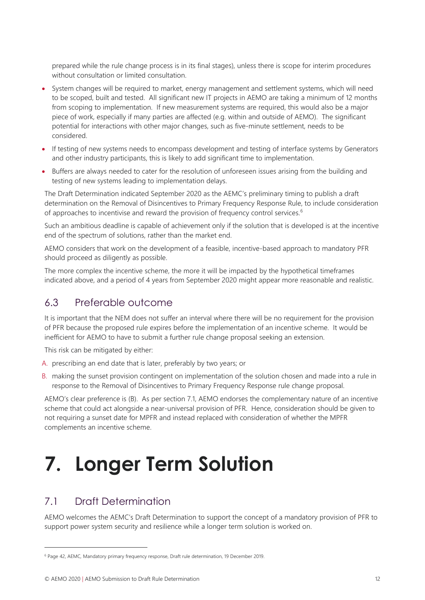prepared while the rule change process is in its final stages), unless there is scope for interim procedures without consultation or limited consultation.

- System changes will be required to market, energy management and settlement systems, which will need to be scoped, built and tested. All significant new IT projects in AEMO are taking a minimum of 12 months from scoping to implementation. If new measurement systems are required, this would also be a major piece of work, especially if many parties are affected (e.g. within and outside of AEMO). The significant potential for interactions with other major changes, such as five-minute settlement, needs to be considered.
- If testing of new systems needs to encompass development and testing of interface systems by Generators and other industry participants, this is likely to add significant time to implementation.
- Buffers are always needed to cater for the resolution of unforeseen issues arising from the building and testing of new systems leading to implementation delays.

The Draft Determination indicated September 2020 as the AEMC's preliminary timing to publish a draft determination on the Removal of Disincentives to Primary Frequency Response Rule, to include consideration of approaches to incentivise and reward the provision of frequency control services.<sup>[6](#page-12-3)</sup>

Such an ambitious deadline is capable of achievement only if the solution that is developed is at the incentive end of the spectrum of solutions, rather than the market end.

AEMO considers that work on the development of a feasible, incentive-based approach to mandatory PFR should proceed as diligently as possible.

The more complex the incentive scheme, the more it will be impacted by the hypothetical timeframes indicated above, and a period of 4 years from September 2020 might appear more reasonable and realistic.

### <span id="page-12-0"></span>6.3 Preferable outcome

It is important that the NEM does not suffer an interval where there will be no requirement for the provision of PFR because the proposed rule expires before the implementation of an incentive scheme. It would be inefficient for AEMO to have to submit a further rule change proposal seeking an extension.

This risk can be mitigated by either:

- A. prescribing an end date that is later, preferably by two years; or
- B. making the sunset provision contingent on implementation of the solution chosen and made into a rule in response to the Removal of Disincentives to Primary Frequency Response rule change proposal.

AEMO's clear preference is (B). As per section 7.1, AEMO endorses the complementary nature of an incentive scheme that could act alongside a near-universal provision of PFR. Hence, consideration should be given to not requiring a sunset date for MPFR and instead replaced with consideration of whether the MPFR complements an incentive scheme.

## <span id="page-12-1"></span>**7. Longer Term Solution**

## <span id="page-12-2"></span>7.1 Draft Determination

AEMO welcomes the AEMC's Draft Determination to support the concept of a mandatory provision of PFR to support power system security and resilience while a longer term solution is worked on.

<span id="page-12-3"></span><sup>6</sup> Page 42, AEMC, Mandatory primary frequency response, Draft rule determination, 19 December 2019.